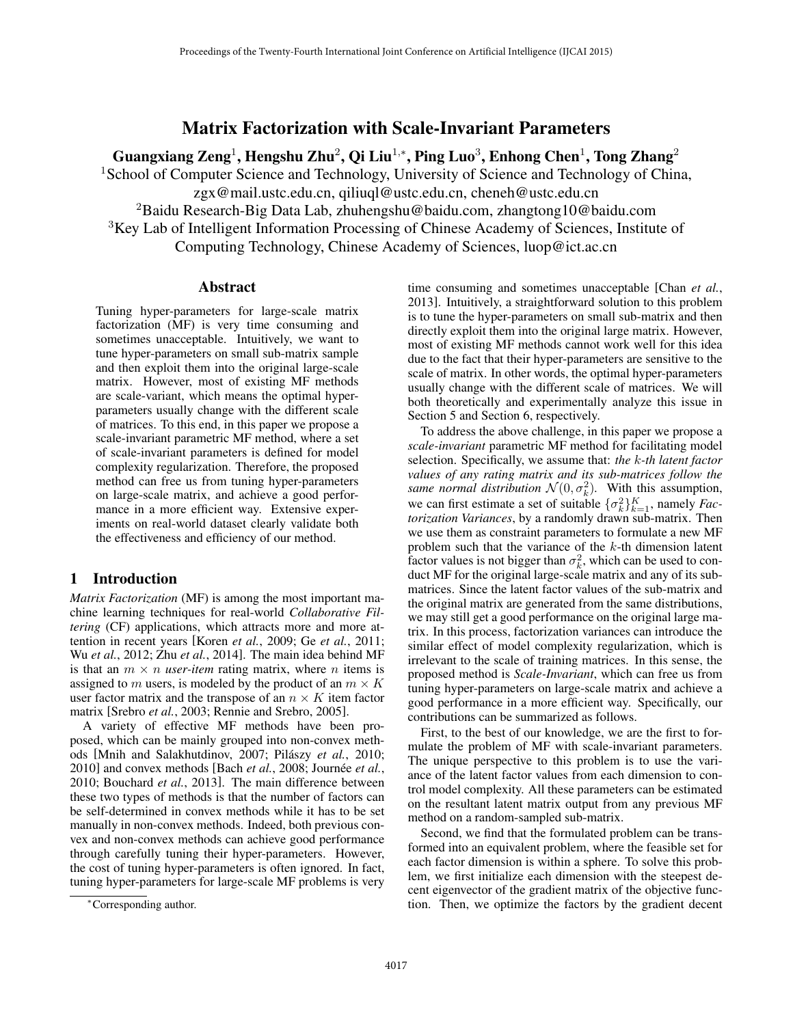# Matrix Factorization with Scale-Invariant Parameters

Guangxiang Zeng<sup>1</sup>, Hengshu Zhu<sup>2</sup>, Qi Liu<sup>1,</sup>\*, Ping Luo<sup>3</sup>, Enhong Chen<sup>1</sup>, Tong Zhang<sup>2</sup>

<sup>1</sup> School of Computer Science and Technology, University of Science and Technology of China,

zgx@mail.ustc.edu.cn, qiliuql@ustc.edu.cn, cheneh@ustc.edu.cn

<sup>2</sup>Baidu Research-Big Data Lab, zhuhengshu@baidu.com, zhangtong10@baidu.com

<sup>3</sup>Key Lab of Intelligent Information Processing of Chinese Academy of Sciences, Institute of

Computing Technology, Chinese Academy of Sciences, luop@ict.ac.cn

### Abstract

Tuning hyper-parameters for large-scale matrix factorization (MF) is very time consuming and sometimes unacceptable. Intuitively, we want to tune hyper-parameters on small sub-matrix sample and then exploit them into the original large-scale matrix. However, most of existing MF methods are scale-variant, which means the optimal hyperparameters usually change with the different scale of matrices. To this end, in this paper we propose a scale-invariant parametric MF method, where a set of scale-invariant parameters is defined for model complexity regularization. Therefore, the proposed method can free us from tuning hyper-parameters on large-scale matrix, and achieve a good performance in a more efficient way. Extensive experiments on real-world dataset clearly validate both the effectiveness and efficiency of our method.

## 1 Introduction

*Matrix Factorization* (MF) is among the most important machine learning techniques for real-world *Collaborative Filtering* (CF) applications, which attracts more and more attention in recent years [Koren *et al.*, 2009; Ge *et al.*, 2011; Wu *et al.*, 2012; Zhu *et al.*, 2014]. The main idea behind MF is that an  $m \times n$  *user-item* rating matrix, where *n* items is assigned to m users, is modeled by the product of an  $m \times K$ user factor matrix and the transpose of an  $n \times K$  item factor matrix [Srebro *et al.*, 2003; Rennie and Srebro, 2005].

A variety of effective MF methods have been proposed, which can be mainly grouped into non-convex methods [Mnih and Salakhutdinov, 2007; Pilászy et al., 2010; 2010] and convex methods [Bach et al., 2008; Journée et al., 2010; Bouchard *et al.*, 2013]. The main difference between these two types of methods is that the number of factors can be self-determined in convex methods while it has to be set manually in non-convex methods. Indeed, both previous convex and non-convex methods can achieve good performance through carefully tuning their hyper-parameters. However, the cost of tuning hyper-parameters is often ignored. In fact, tuning hyper-parameters for large-scale MF problems is very time consuming and sometimes unacceptable [Chan *et al.*, 2013]. Intuitively, a straightforward solution to this problem is to tune the hyper-parameters on small sub-matrix and then directly exploit them into the original large matrix. However, most of existing MF methods cannot work well for this idea due to the fact that their hyper-parameters are sensitive to the scale of matrix. In other words, the optimal hyper-parameters usually change with the different scale of matrices. We will both theoretically and experimentally analyze this issue in Section 5 and Section 6, respectively.

To address the above challenge, in this paper we propose a *scale-invariant* parametric MF method for facilitating model selection. Specifically, we assume that: *the* k*-th latent factor values of any rating matrix and its sub-matrices follow the same normal distribution*  $\mathcal{N}(0, \sigma_k^2)$ . With this assumption, we can first estimate a set of suitable  $\{\sigma_k^2\}_{k=1}^K$ , namely *Factorization Variances*, by a randomly drawn sub-matrix. Then we use them as constraint parameters to formulate a new MF problem such that the variance of the  $k$ -th dimension latent factor values is not bigger than  $\sigma_k^2$ , which can be used to conduct MF for the original large-scale matrix and any of its submatrices. Since the latent factor values of the sub-matrix and the original matrix are generated from the same distributions, we may still get a good performance on the original large matrix. In this process, factorization variances can introduce the similar effect of model complexity regularization, which is irrelevant to the scale of training matrices. In this sense, the proposed method is *Scale-Invariant*, which can free us from tuning hyper-parameters on large-scale matrix and achieve a good performance in a more efficient way. Specifically, our contributions can be summarized as follows.

First, to the best of our knowledge, we are the first to formulate the problem of MF with scale-invariant parameters. The unique perspective to this problem is to use the variance of the latent factor values from each dimension to control model complexity. All these parameters can be estimated on the resultant latent matrix output from any previous MF method on a random-sampled sub-matrix.

Second, we find that the formulated problem can be transformed into an equivalent problem, where the feasible set for each factor dimension is within a sphere. To solve this problem, we first initialize each dimension with the steepest decent eigenvector of the gradient matrix of the objective function. Then, we optimize the factors by the gradient decent

<sup>∗</sup>Corresponding author.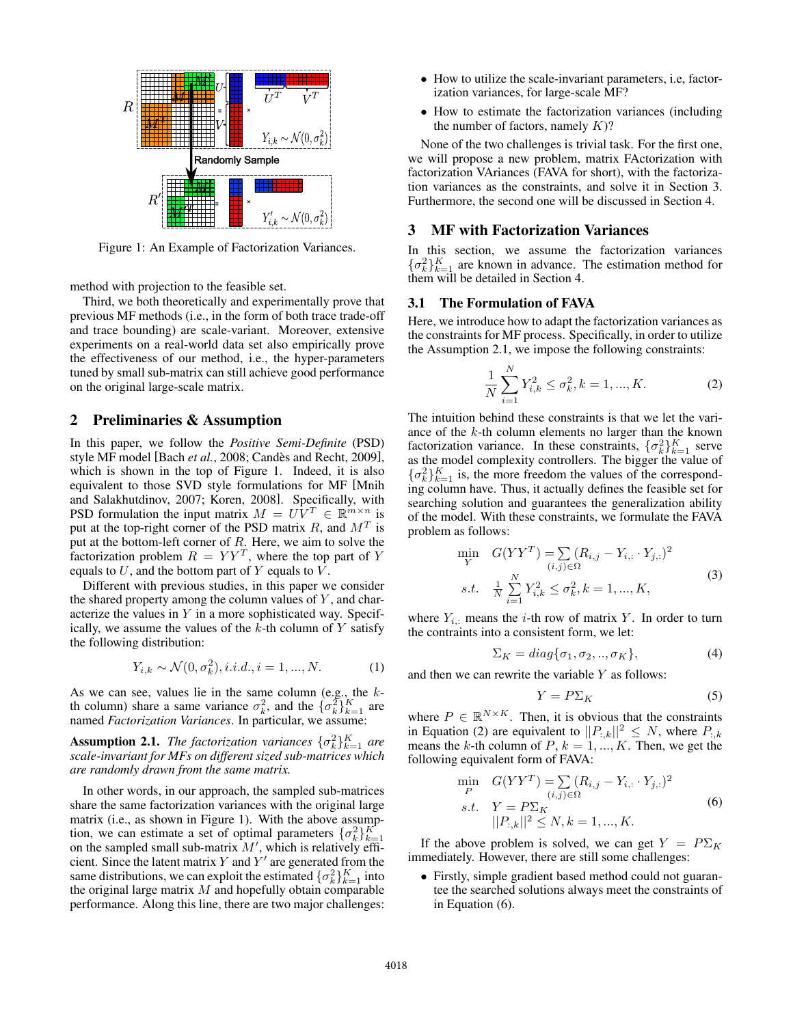

Figure 1: An Example of Factorization Variances.

method with projection to the feasible set.

Third, we both theoretically and experimentally prove that previous MF methods (i.e., in the form of both trace trade-off and trace bounding) are scale-variant. Moreover, extensive experiments on a real-world data set also empirically prove the effectiveness of our method, i.e., the hyper-parameters tuned by small sub-matrix can still achieve good performance on the original large-scale matrix.

### 2 Preliminaries & Assumption

In this paper, we follow the *Positive Semi-Definite* (PSD) style MF model [Bach *et al.*, 2008; Candès and Recht, 2009], which is shown in the top of Figure 1. Indeed, it is also equivalent to those SVD style formulations for MF [Mnih and Salakhutdinov, 2007; Koren, 2008]. Specifically, with PSD formulation the input matrix  $M = U\overline{V}^T \in \mathbb{R}^{m \times n}$  is put at the top-right corner of the PSD matrix R, and  $M<sup>T</sup>$  is put at the bottom-left corner of  $R$ . Here, we aim to solve the factorization problem  $R = YY^{T}$ , where the top part of Y equals to  $U$ , and the bottom part of  $Y$  equals to  $V$ .

Different with previous studies, in this paper we consider the shared property among the column values of  $Y$ , and characterize the values in  $Y$  in a more sophisticated way. Specifically, we assume the values of the  $k$ -th column of Y satisfy the following distribution:

$$
Y_{i,k} \sim \mathcal{N}(0, \sigma_k^2), i.i.d., i = 1, ..., N.
$$
 (1)

As we can see, values lie in the same column (e.g., the kth column) share a same variance  $\sigma_k^2$ , and the  $\{\sigma_k^2\}_{k=1}^K$  are named *Factorization Variances*. In particular, we assume:

**Assumption 2.1.** *The factorization variances*  $\{\sigma_k^2\}_{k=1}^K$  *are scale-invariant for MFs on different sized sub-matrices which are randomly drawn from the same matrix.*

In other words, in our approach, the sampled sub-matrices share the same factorization variances with the original large matrix (i.e., as shown in Figure 1). With the above assumption, we can estimate a set of optimal parameters  $\{\sigma_k^2\}_{k=1}^K$ on the sampled small sub-matrix  $M'$ , which is relatively efficient. Since the latent matrix  $Y$  and  $Y'$  are generated from the same distributions, we can exploit the estimated  $\{\sigma_k^2\}_{k=1}^K$  into the original large matrix  $M$  and hopefully obtain comparable performance. Along this line, there are two major challenges:

- How to utilize the scale-invariant parameters, i.e, factorization variances, for large-scale MF?
- How to estimate the factorization variances (including the number of factors, namely  $K$ ?

None of the two challenges is trivial task. For the first one, we will propose a new problem, matrix FActorization with factorization VAriances (FAVA for short), with the factorization variances as the constraints, and solve it in Section 3. Furthermore, the second one will be discussed in Section 4.

## 3 MF with Factorization Variances

In this section, we assume the factorization variances  $\{\sigma_k^2\}_{k=1}^K$  are known in advance. The estimation method for them will be detailed in Section 4.

#### 3.1 The Formulation of FAVA

Here, we introduce how to adapt the factorization variances as the constraints for MF process. Specifically, in order to utilize the Assumption 2.1, we impose the following constraints:

$$
\frac{1}{N} \sum_{i=1}^{N} Y_{i,k}^{2} \le \sigma_{k}^{2}, k = 1, ..., K.
$$
 (2)

The intuition behind these constraints is that we let the variance of the  $k$ -th column elements no larger than the known factorization variance. In these constraints,  $\{\sigma_k^2\}_{k=1}^K$  serve as the model complexity controllers. The bigger the value of  $\{\sigma_k^2\}_{k=1}^K$  is, the more freedom the values of the corresponding column have. Thus, it actually defines the feasible set for searching solution and guarantees the generalization ability of the model. With these constraints, we formulate the FAVA problem as follows:

$$
\min_{Y} G(YY^{T}) = \sum_{(i,j)\in\Omega} (R_{i,j} - Y_{i,:} \cdot Y_{j,:})^{2}
$$
\n
$$
s.t. \quad \frac{1}{N} \sum_{i=1}^{N} Y_{i,k}^{2} \leq \sigma_{k}^{2}, k = 1, ..., K,
$$
\n(3)

where  $Y_{i,:}$  means the *i*-th row of matrix Y. In order to turn the contraints into a consistent form, we let:

$$
\Sigma_K = diag\{\sigma_1, \sigma_2, ..., \sigma_K\},\tag{4}
$$

and then we can rewrite the variable  $Y$  as follows:

$$
Y = P\Sigma_K \tag{5}
$$

where  $P \in \mathbb{R}^{N \times K}$ . Then, it is obvious that the constraints in Equation (2) are equivalent to  $||P_{:,k}||^2 \leq N$ , where  $P_{:,k}$ means the k-th column of  $P, k = 1, ..., K$ . Then, we get the following equivalent form of FAVA:

$$
\min_{P} G(YY^{T}) = \sum_{(i,j)\in\Omega} (R_{i,j} - Y_{i,:} \cdot Y_{j,:})^{2}
$$
\n*s.t.* 
$$
Y = P\Sigma_{K}
$$
\n
$$
||P_{:,k}||^{2} \leq N, k = 1, ..., K.
$$
\n(6)

If the above problem is solved, we can get  $Y = P\Sigma_K$ immediately. However, there are still some challenges:

• Firstly, simple gradient based method could not guarantee the searched solutions always meet the constraints of in Equation (6).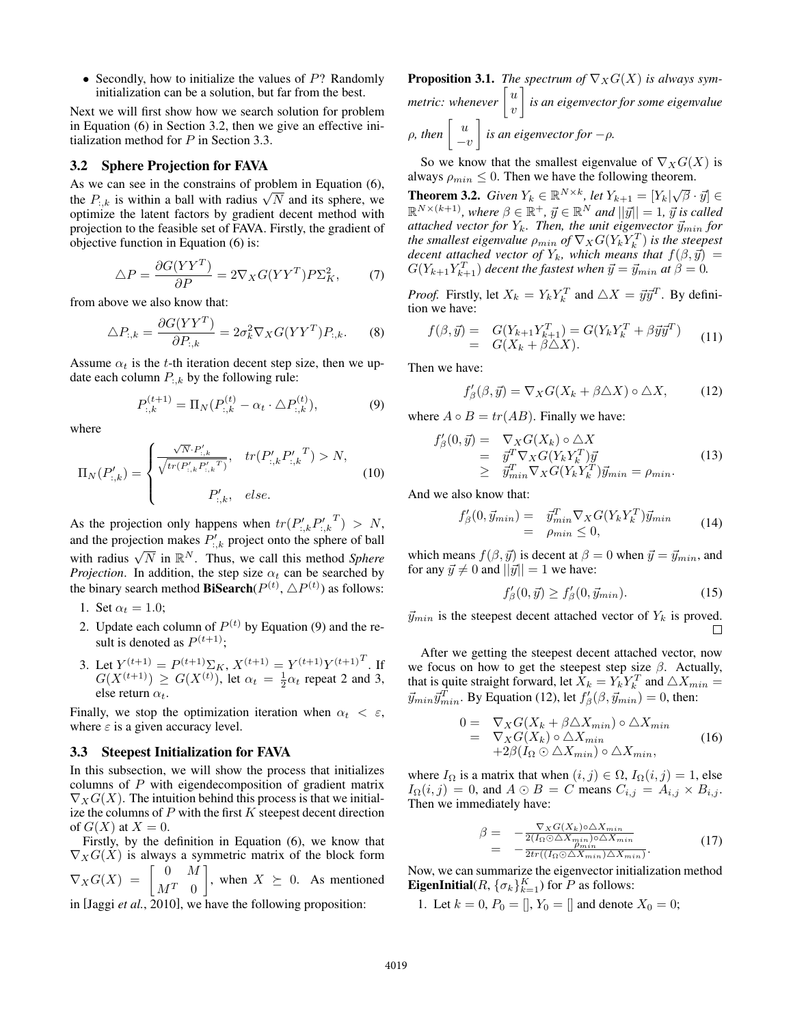• Secondly, how to initialize the values of  $P$ ? Randomly initialization can be a solution, but far from the best.

Next we will first show how we search solution for problem in Equation (6) in Section 3.2, then we give an effective initialization method for  $P$  in Section 3.3.

#### 3.2 Sphere Projection for FAVA

As we can see in the constrains of problem in Equation (6), As we can see in the constrains of problem in Equation (6), the  $P_{i,k}$  is within a ball with radius  $\sqrt{N}$  and its sphere, we optimize the latent factors by gradient decent method with projection to the feasible set of FAVA. Firstly, the gradient of objective function in Equation (6) is:

$$
\triangle P = \frac{\partial G(YY^T)}{\partial P} = 2\nabla_X G(YY^T) P \Sigma_K^2,\tag{7}
$$

from above we also know that:

$$
\triangle P_{:,k} = \frac{\partial G(YY^T)}{\partial P_{:,k}} = 2\sigma_k^2 \nabla_X G(YY^T) P_{:,k}.
$$
 (8)

Assume  $\alpha_t$  is the t-th iteration decent step size, then we update each column  $P_{:,k}$  by the following rule:

$$
P_{:,k}^{(t+1)} = \Pi_N(P_{:,k}^{(t)} - \alpha_t \cdot \Delta P_{:,k}^{(t)}),
$$
\n(9)

where

$$
\Pi_N(P'_{:,k}) = \begin{cases} \frac{\sqrt{N} \cdot P'_{:,k}}{\sqrt{tr(P'_{:,k} P'_{:,k}^T)}}, & tr(P'_{:,k} P'_{:,k}^T) > N, \\ P'_{:,k}, & else. \end{cases}
$$
(10)

As the projection only happens when  $tr(P'_{:,k}P'_{:,k}^T) > N$ , and the projection makes  $P'_{:,k}$  project onto the sphere of ball with radius  $\sqrt{N}$  in  $\mathbb{R}^N$ . Thus, we call this method *Sphere Projection*. In addition, the step size  $\alpha_t$  can be searched by the binary search method **BiSearch** $(P^{(t)}, \triangle P^{(t)})$  as follows:

- 1. Set  $\alpha_t = 1.0$ ;
- 2. Update each column of  $P^{(t)}$  by Equation (9) and the result is denoted as  $P^{(t+1)}$ ;
- 3. Let  $Y^{(t+1)} = P^{(t+1)} \Sigma_K$ ,  $X^{(t+1)} = Y^{(t+1)} Y^{(t+1)^T}$ . If  $G(X^{(t+1)}) \geq G(X^{(t)})$ , let  $\alpha_t = \frac{1}{2}\alpha_t$  repeat 2 and 3, else return  $\alpha_t$ .

Finally, we stop the optimization iteration when  $\alpha_t < \varepsilon$ , where  $\varepsilon$  is a given accuracy level.

#### 3.3 Steepest Initialization for FAVA

In this subsection, we will show the process that initializes columns of P with eigendecomposition of gradient matrix  $\nabla_X G(X)$ . The intuition behind this process is that we initialize the columns of  $P$  with the first  $K$  steepest decent direction of  $G(X)$  at  $X = 0$ .

Firstly, by the definition in Equation (6), we know that  $\nabla_X G(X)$  is always a symmetric matrix of the block form  $\nabla_X G(X) = \begin{bmatrix} 0 & M \\ M^T & 0 \end{bmatrix}$  $M^T$  0 when  $X \succeq 0$ . As mentioned in [Jaggi *et al.*, 2010], we have the following proposition:

**Proposition 3.1.** *The spectrum of*  $\nabla_X G(X)$  *is always sym*metric: whenever  $\begin{bmatrix} u \\ v \end{bmatrix}$ v *is an eigenvector for some eigenvalue*  $\rho$ *, then*  $\begin{bmatrix} u \\ v \end{bmatrix}$  $-v$ *is an eigenvector for* −ρ*.*

So we know that the smallest eigenvalue of  $\nabla_X G(X)$  is always  $\rho_{min} \leq 0$ . Then we have the following theorem.

**Theorem 3.2.** *Given*  $Y_k \in \mathbb{R}^{N \times k}$ , *let*  $Y_{k+1} = [Y_k | \sqrt{\beta} \cdot \vec{y}] \in$  $\mathbb{R}^{N \times (k+1)}$ , where  $\beta \in \mathbb{R}^+$ ,  $\vec{y} \in \mathbb{R}^N$  and  $||\vec{y}|| = 1$ ,  $\vec{y}$  is called  $a$ ttached vector for  $Y_k$ . Then, the unit eigenvector  $\vec{y}_{min}$  for the smallest eigenvalue  $\rho_{min}$  of  $\nabla_X G(Y_k Y_k^T)$  is the steepest *decent attached vector of*  $Y_k$ , which means that  $f(\beta, \vec{y}) =$  $G(Y_{k+1}Y_{k+1}^T)$  decent the fastest when  $\vec{y} = \vec{y}_{min}$  at  $\hat{\beta} = 0$ .

*Proof.* Firstly, let  $X_k = Y_k Y_k^T$  and  $\triangle X = \vec{y} \vec{y}^T$ . By definition we have:

$$
f(\beta, \vec{y}) = G(Y_{k+1}Y_{k+1}^T) = G(Y_k Y_k^T + \beta \vec{y} \vec{y}^T)
$$
  
= 
$$
G(X_k + \beta \triangle X).
$$
 (11)

Then we have:

$$
f'_{\beta}(\beta, \vec{y}) = \nabla_X G(X_k + \beta \triangle X) \circ \triangle X, \quad (12)
$$

where  $A \circ B = tr(AB)$ . Finally we have:

$$
f'_{\beta}(0,\vec{y}) = \nabla_X G(X_k) \circ \Delta X
$$
  
\n
$$
= \vec{y}^T \nabla_X G(Y_k Y_k^T) \vec{y}
$$
  
\n
$$
\geq \vec{y}_{min}^T \nabla_X G(Y_k Y_k^T) \vec{y}_{min} = \rho_{min}.
$$
\n(13)

And we also know that:

$$
f'_{\beta}(0, \vec{y}_{min}) = \vec{y}_{min}^T \nabla_X G(Y_k Y_k^T) \vec{y}_{min}
$$
  
=  $\rho_{min} \le 0,$  (14)

which means  $f(\beta, \vec{y})$  is decent at  $\beta = 0$  when  $\vec{y} = \vec{y}_{min}$ , and for any  $\vec{y} \neq 0$  and  $||\vec{y}|| = 1$  we have:

$$
f'_{\beta}(0,\vec{y}) \ge f'_{\beta}(0,\vec{y}_{min}).\tag{15}
$$

 $\vec{y}_{min}$  is the steepest decent attached vector of  $Y_k$  is proved.  $\Box$ 

After we getting the steepest decent attached vector, now we focus on how to get the steepest step size  $\beta$ . Actually, that is quite straight forward, let  $\bar{X}_k = Y_k Y_k^T$  and  $\triangle X_{min} =$  $\vec{y}_{min} \vec{y}_{min}^T$ . By Equation (12), let  $f'_{\beta}(\beta, \vec{y}_{min}) = 0$ , then:

$$
0 = \nabla_X G(X_k + \beta \triangle X_{min}) \circ \triangle X_{min}
$$
  
= 
$$
\nabla_X G(X_k) \circ \triangle X_{min}
$$
  
+2\beta (I\_{\Omega} \odot \triangle X\_{min}) \circ \triangle X\_{min}, (16)

where  $I_{\Omega}$  is a matrix that when  $(i, j) \in \Omega$ ,  $I_{\Omega}(i, j) = 1$ , else  $I_{\Omega}(i, j) = 0$ , and  $A \odot B = C$  means  $C_{i,j} = A_{i,j} \times B_{i,j}$ . Then we immediately have:

$$
\begin{array}{rcl}\n\beta &=& -\frac{\nabla_X G(X_k) \circ \Delta X_{min}}{2(I_\Omega \odot \Delta X_{min}) \circ \Delta X_{min}} \\
&=& -\frac{\partial \Delta X_{min}}{2tr((I_\Omega \odot \Delta X_{min}) \Delta X_{min})}.\n\end{array} \tag{17}
$$

Now, we can summarize the eigenvector initialization method **EigenInitial**( $R$ ,  $\{\sigma_k\}_{k=1}^K$ ) for  $P$  as follows:

1. Let  $k = 0$ ,  $P_0 = \begin{bmatrix} 1 \\ 1 \end{bmatrix}$ ,  $Y_0 = \begin{bmatrix} 1 \\ 0 \end{bmatrix}$  and denote  $X_0 = 0$ ;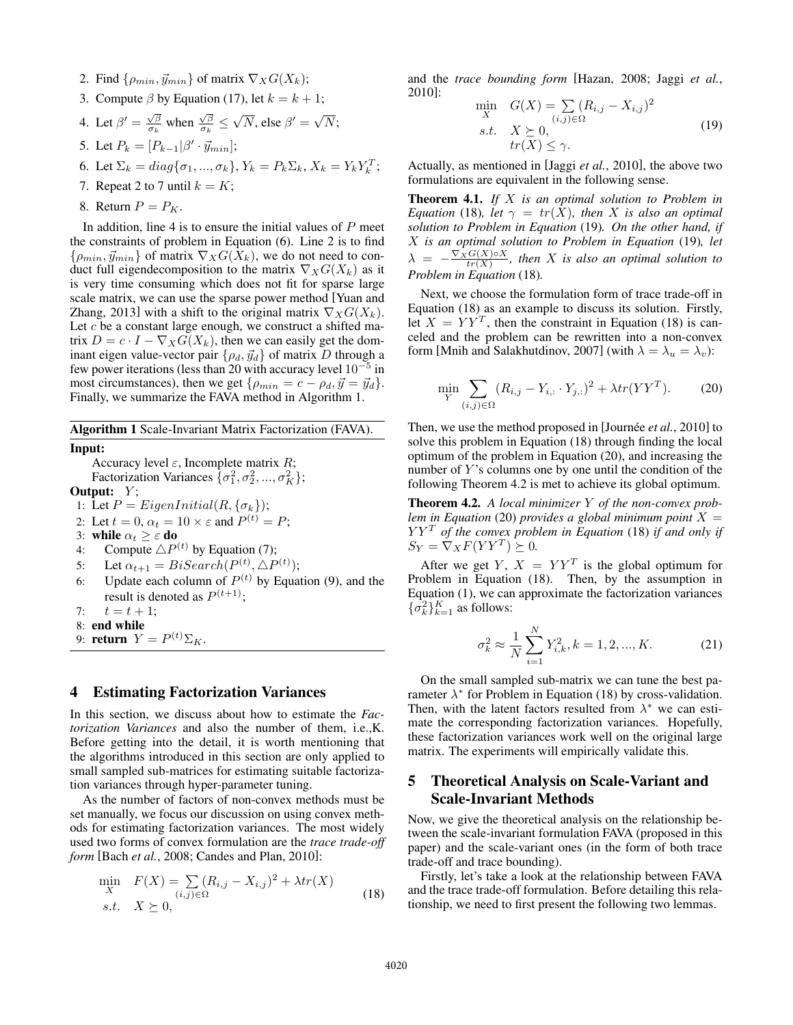- 2. Find  $\{\rho_{min}, \vec{y}_{min}\}$  of matrix  $\nabla_X G(X_k);$
- 3. Compute  $\beta$  by Equation (17), let  $k = k + 1$ ;
- 4. Let  $\beta' = \frac{\sqrt{\beta}}{\sigma_k}$  when  $\frac{\sqrt{\beta}}{\sigma_k} \leq$ √  $\overline{N}$ , else  $\beta' = \sqrt{ }$  $N;$ 5. Let  $P_k = [P_{k-1} | \beta' \cdot \vec{y}_{min}]$ ;
- 
- 6. Let  $\Sigma_k = diag\{\sigma_1, ..., \sigma_k\}, Y_k = P_k \Sigma_k, X_k = Y_k Y_k^T;$
- 7. Repeat 2 to 7 until  $k = K$ ;
- 8. Return  $P = P_K$ .

In addition, line 4 is to ensure the initial values of  $P$  meet the constraints of problem in Equation (6). Line 2 is to find  $\{\rho_{min}, \vec{y}_{min}\}$  of matrix  $\nabla_X G(X_k)$ , we do not need to conduct full eigendecomposition to the matrix  $\nabla_X G(X_k)$  as it is very time consuming which does not fit for sparse large scale matrix, we can use the sparse power method [Yuan and Zhang, 2013] with a shift to the original matrix  $\nabla_X G(X_k)$ . Let  $c$  be a constant large enough, we construct a shifted matrix  $D = c \cdot I - \nabla_X G(X_k)$ , then we can easily get the dominant eigen value-vector pair  $\{\rho_d, \vec{y}_d\}$  of matrix D through a few power iterations (less than 20 with accuracy level  $10^{-5}$  in most circumstances), then we get  $\{\rho_{min} = c - \rho_d, \vec{y} = \vec{y}_d\}.$ Finally, we summarize the FAVA method in Algorithm 1.

Algorithm 1 Scale-Invariant Matrix Factorization (FAVA).

#### Input:

Accuracy level  $\varepsilon$ , Incomplete matrix  $R$ ; Factorization Variances  $\{\sigma_1^2, \sigma_2^2, ..., \sigma_K^2\};$ Output:  $Y$ ; 1: Let  $P = EigenInitial(R, \{\sigma_k\});$ 2: Let  $t = 0$ ,  $\alpha_t = 10 \times \varepsilon$  and  $P^{(t)} = P$ ; 3: while  $\alpha_t > \varepsilon$  do 4: Compute  $\triangle P^{(t)}$  by Equation (7); 5: Let  $\alpha_{t+1} = BiSearch(P^{(t)}, \triangle P^{(t)})$ ;

- 6: Update each column of  $P^{(t)}$  by Equation (9), and the result is denoted as  $P^{(t+1)}$ ;
- 7:  $t = t + 1$ ;
- 8: end while
- 9: **return**  $Y = P^{(t)}\Sigma_K$ .

### 4 Estimating Factorization Variances

In this section, we discuss about how to estimate the *Factorization Variances* and also the number of them, i.e.,K. Before getting into the detail, it is worth mentioning that the algorithms introduced in this section are only applied to small sampled sub-matrices for estimating suitable factorization variances through hyper-parameter tuning.

As the number of factors of non-convex methods must be set manually, we focus our discussion on using convex methods for estimating factorization variances. The most widely used two forms of convex formulation are the *trace trade-off form* [Bach *et al.*, 2008; Candes and Plan, 2010]:

$$
\min_{X} F(X) = \sum_{(i,j)\in\Omega} (R_{i,j} - X_{i,j})^2 + \lambda tr(X)
$$
\n
$$
s.t. X \succeq 0,
$$
\n(18)

and the *trace bounding form* [Hazan, 2008; Jaggi *et al.*, 2010]:

$$
\min_{X} G(X) = \sum_{(i,j)\in\Omega} (R_{i,j} - X_{i,j})^2
$$
\n*s.t.* 
$$
X \succeq 0,
$$
\n
$$
tr(X) \leq \gamma.
$$
\n(19)

Actually, as mentioned in [Jaggi *et al.*, 2010], the above two formulations are equivalent in the following sense.

Theorem 4.1. *If* X *is an optimal solution to Problem in Equation* (18)*, let*  $\gamma = tr(X)$ *, then* X *is also an optimal solution to Problem in Equation* (19)*. On the other hand, if* X *is an optimal solution to Problem in Equation* (19)*, let*  $\lambda = -\frac{\nabla_X G(X) \circ X}{tr(X)}$ , then X is also an optimal solution to *Problem in Equation* (18)*.*

Next, we choose the formulation form of trace trade-off in Equation (18) as an example to discuss its solution. Firstly, let  $X = YY<sup>T</sup>$ , then the constraint in Equation (18) is canceled and the problem can be rewritten into a non-convex form [Mnih and Salakhutdinov, 2007] (with  $\lambda = \lambda_u = \lambda_v$ ):

$$
\min_{Y} \sum_{(i,j)\in\Omega} (R_{i,j} - Y_{i,:} \cdot Y_{j,:})^2 + \lambda tr(YY^T).
$$
 (20)

Then, we use the method proposed in [Journée *et al.*, 2010] to solve this problem in Equation (18) through finding the local optimum of the problem in Equation (20), and increasing the number of  $Y$ 's columns one by one until the condition of the following Theorem 4.2 is met to achieve its global optimum.

Theorem 4.2. *A local minimizer* Y *of the non-convex problem in Equation* (20) *provides a global minimum point* X =  $YY<sup>T</sup>$  *of the convex problem in Equation* (18) *if and only if*  $S_Y = \nabla_X F(YY^T) \succeq 0.$ 

After we get Y,  $X = YY^T$  is the global optimum for Problem in Equation (18). Then, by the assumption in Equation (1), we can approximate the factorization variances  $\{\sigma_k^2\}_{k=1}^K$  as follows:

$$
\sigma_k^2 \approx \frac{1}{N} \sum_{i=1}^N Y_{i,k}^2, k = 1, 2, ..., K.
$$
 (21)

On the small sampled sub-matrix we can tune the best parameter  $\lambda^*$  for Problem in Equation (18) by cross-validation. Then, with the latent factors resulted from  $\lambda^*$  we can estimate the corresponding factorization variances. Hopefully, these factorization variances work well on the original large matrix. The experiments will empirically validate this.

## 5 Theoretical Analysis on Scale-Variant and Scale-Invariant Methods

Now, we give the theoretical analysis on the relationship between the scale-invariant formulation FAVA (proposed in this paper) and the scale-variant ones (in the form of both trace trade-off and trace bounding).

Firstly, let's take a look at the relationship between FAVA and the trace trade-off formulation. Before detailing this relationship, we need to first present the following two lemmas.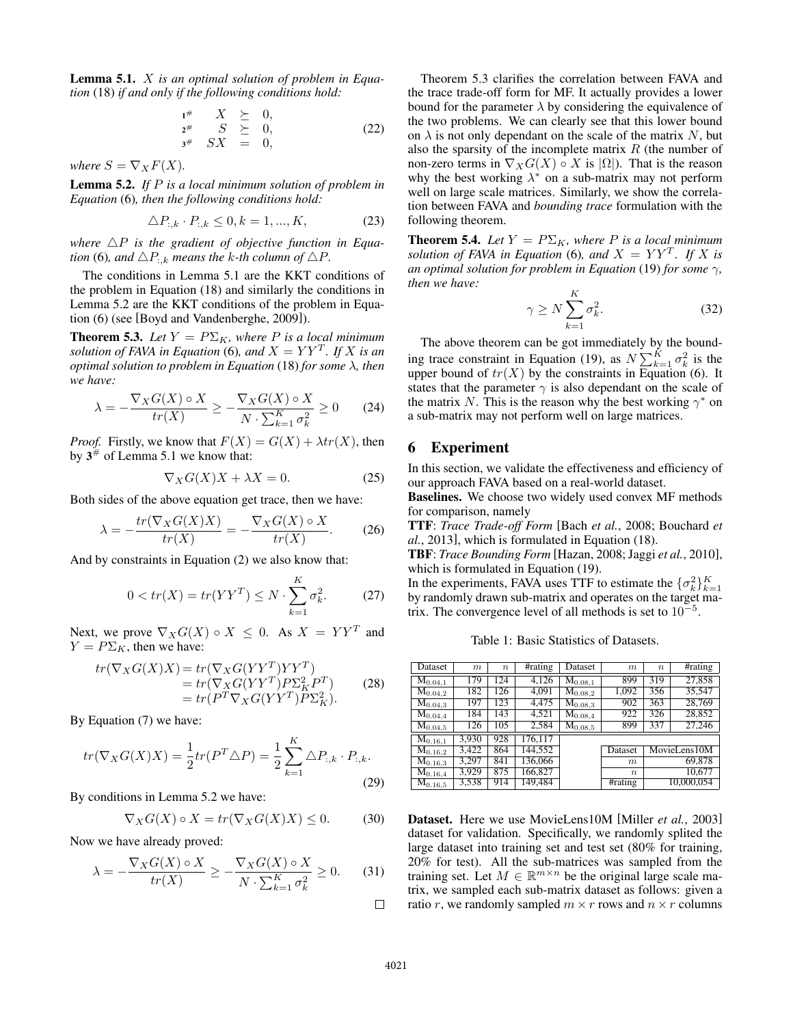Lemma 5.1. X *is an optimal solution of problem in Equation* (18) *if and only if the following conditions hold:*

$$
\begin{array}{rcl}\n 1^{\#} & X \geq 0, \\
 2^{\#} & S \geq 0, \\
 3^{\#} & SX = 0,\n \end{array}\n \tag{22}
$$

*where*  $S = \nabla_X F(X)$ *.* 

Lemma 5.2. *If* P *is a local minimum solution of problem in Equation* (6)*, then the following conditions hold:*

$$
\Delta P_{:,k} \cdot P_{:,k} \le 0, k = 1, ..., K,
$$
\n(23)

where  $\triangle P$  *is the gradient of objective function in Equation* (6)*, and*  $\triangle P_{:k}$  *means the k-th column of*  $\triangle P$ *.* 

The conditions in Lemma 5.1 are the KKT conditions of the problem in Equation (18) and similarly the conditions in Lemma 5.2 are the KKT conditions of the problem in Equation (6) (see [Boyd and Vandenberghe, 2009]).

**Theorem 5.3.** Let  $Y = P\Sigma_K$ , where P is a local minimum *solution of FAVA in Equation* (6), and  $X = YY^T$ . If X is an *optimal solution to problem in Equation* (18) *for some* λ*, then we have:*

$$
\lambda = -\frac{\nabla_X G(X) \circ X}{tr(X)} \ge -\frac{\nabla_X G(X) \circ X}{N \cdot \sum_{k=1}^K \sigma_k^2} \ge 0 \qquad (24)
$$

*Proof.* Firstly, we know that  $F(X) = G(X) + \lambda tr(X)$ , then by  $3^{\#}$  of Lemma 5.1 we know that:

$$
\nabla_X G(X)X + \lambda X = 0. \tag{25}
$$

Both sides of the above equation get trace, then we have:

$$
\lambda = -\frac{tr(\nabla_X G(X)X)}{tr(X)} = -\frac{\nabla_X G(X) \circ X}{tr(X)}.
$$
 (26)

And by constraints in Equation (2) we also know that:

$$
0 < tr(X) = tr(YY^T) \le N \cdot \sum_{k=1}^{K} \sigma_k^2. \tag{27}
$$

Next, we prove  $\nabla_X G(X) \circ X \leq 0$ . As  $X = YY^T$  and  $Y = P\Sigma_K$ , then we have:

$$
tr(\nabla_X G(X)X) = tr(\nabla_X G(YY^T)YY^T)
$$
  
=  $tr(\nabla_X G(YY^T)P\Sigma_K^2P^T)$   
=  $tr(P^T \nabla_X G(YY^T)P\Sigma_K^2)$ . (28)

By Equation (7) we have:

$$
tr(\nabla_X G(X)X) = \frac{1}{2}tr(P^T \triangle P) = \frac{1}{2} \sum_{k=1}^K \triangle P_{:,k} \cdot P_{:,k}.
$$
\n(29)

By conditions in Lemma 5.2 we have:

$$
\nabla_X G(X) \circ X = tr(\nabla_X G(X)X) \le 0.
$$
 (30)

Now we have already proved:

$$
\lambda = -\frac{\nabla_X G(X) \circ X}{tr(X)} \ge -\frac{\nabla_X G(X) \circ X}{N \cdot \sum_{k=1}^K \sigma_k^2} \ge 0. \tag{31}
$$

Theorem 5.3 clarifies the correlation between FAVA and the trace trade-off form for MF. It actually provides a lower bound for the parameter  $\lambda$  by considering the equivalence of the two problems. We can clearly see that this lower bound on  $\lambda$  is not only dependant on the scale of the matrix N, but also the sparsity of the incomplete matrix  $R$  (the number of non-zero terms in  $\nabla_X G(X) \circ X$  is  $|\Omega|$ ). That is the reason why the best working  $\lambda^*$  on a sub-matrix may not perform well on large scale matrices. Similarly, we show the correlation between FAVA and *bounding trace* formulation with the following theorem.

**Theorem 5.4.** *Let*  $Y = P\Sigma_K$ *, where P is a local minimum solution of FAVA in Equation* (6), and  $X = YY^{T}$ . If X is *an optimal solution for problem in Equation* (19) *for some* γ*, then we have:*

$$
\gamma \ge N \sum_{k=1}^{K} \sigma_k^2.
$$
 (32)

The above theorem can be got immediately by the bounding trace constraint in Equation (19), as  $N \sum_{k=1}^{K} \sigma_k^2$  is the upper bound of  $tr(X)$  by the constraints in Equation (6). It states that the parameter  $\gamma$  is also dependant on the scale of the matrix N. This is the reason why the best working  $\gamma^*$  on a sub-matrix may not perform well on large matrices.

### 6 Experiment

In this section, we validate the effectiveness and efficiency of our approach FAVA based on a real-world dataset.

Baselines. We choose two widely used convex MF methods for comparison, namely

TTF: *Trace Trade-off Form* [Bach *et al.*, 2008; Bouchard *et al.*, 2013], which is formulated in Equation (18).

TBF: *Trace Bounding Form* [Hazan, 2008; Jaggi *et al.*, 2010], which is formulated in Equation (19).

In the experiments, FAVA uses TTF to estimate the  $\{\sigma_k^2\}_{k=1}^K$ by randomly drawn sub-matrix and operates on the target matrix. The convergence level of all methods is set to  $10^{-5}$ .

Table 1: Basic Statistics of Datasets.

| Dataset                           | $\boldsymbol{m}$ | $\boldsymbol{n}$ | $\frac{4}{\pi}$ ating | Dataset                           | m       | $\boldsymbol{n}$ | $#$ rating |  |  |
|-----------------------------------|------------------|------------------|-----------------------|-----------------------------------|---------|------------------|------------|--|--|
| $\overline{\mathrm{M}}_{0.04, 1}$ | 179              | 124              | 4.126                 | $\overline{\mathrm{M}}_{0.08, 1}$ | 899     | 319              | 27,858     |  |  |
| $M_{0.04,2}$                      | 182              | 126              | 4.091                 | $M_{0.08,2}$                      | 1.092   | 356              | 35.547     |  |  |
| $M_{0.04,3}$                      | 197              | 123              | 4.475                 | $M_{0.08,3}$                      | 902     | 363              | 28.769     |  |  |
| $\overline{\mathrm{M}}_{0.04, 4}$ | 184              | 143              | 4.521                 | $\rm{M}_{0.08,4}$                 | 922     | 326              | 28,852     |  |  |
| $\rm{M}_{0.04,5}$                 | 126              | 105              | 2,584                 | $\rm M_{0.08,5}$                  | 899     | 337              | 27,246     |  |  |
| $\overline{\mathrm{M}}_{0.16, 1}$ | 3.930            | 928              | 176.117               |                                   |         |                  |            |  |  |
| $M_{0.16,2}$                      | 3,422            | 864              | 144.552               |                                   | Dataset | MovieLens10M     |            |  |  |
| $\rm{M}_{0.16,3}$                 | 3,297            | 841              | 136,066               |                                   | $_{m}$  |                  | 69,878     |  |  |
| $\mathrm{M}_{0.16,4}$             | 3.929            | 875              | 166,827               | $\boldsymbol{n}$                  |         | 10.677           |            |  |  |
| $\rm{M}_{0.16,5}$                 | 3,538            | 914              | 149,484               |                                   | #rating |                  | 10.000.054 |  |  |

Dataset. Here we use MovieLens10M [Miller *et al.*, 2003] dataset for validation. Specifically, we randomly splited the large dataset into training set and test set (80% for training, 20% for test). All the sub-matrices was sampled from the training set. Let  $M \in \mathbb{R}^{m \times n}$  be the original large scale matrix, we sampled each sub-matrix dataset as follows: given a ratio r, we randomly sampled  $m \times r$  rows and  $n \times r$  columns

 $\Box$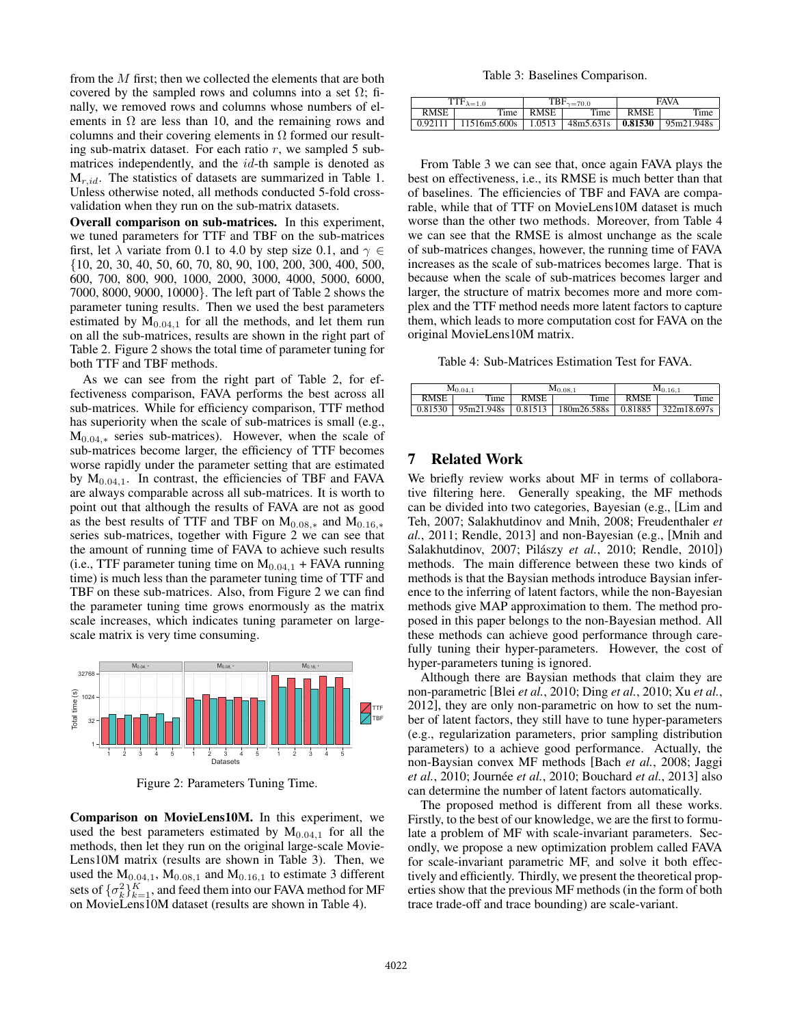from the M first; then we collected the elements that are both covered by the sampled rows and columns into a set  $\Omega$ ; finally, we removed rows and columns whose numbers of elements in  $\Omega$  are less than 10, and the remaining rows and columns and their covering elements in  $\Omega$  formed our resulting sub-matrix dataset. For each ratio  $r$ , we sampled 5 submatrices independently, and the id-th sample is denoted as  $M_{r, id}$ . The statistics of datasets are summarized in Table 1. Unless otherwise noted, all methods conducted 5-fold crossvalidation when they run on the sub-matrix datasets.

Overall comparison on sub-matrices. In this experiment, we tuned parameters for TTF and TBF on the sub-matrices first, let  $\lambda$  variate from 0.1 to 4.0 by step size 0.1, and  $\gamma \in$ {10, 20, 30, 40, 50, 60, 70, 80, 90, 100, 200, 300, 400, 500, 600, 700, 800, 900, 1000, 2000, 3000, 4000, 5000, 6000, 7000, 8000, 9000, 10000}. The left part of Table 2 shows the parameter tuning results. Then we used the best parameters estimated by  $M_{0.04,1}$  for all the methods, and let them run on all the sub-matrices, results are shown in the right part of Table 2. Figure 2 shows the total time of parameter tuning for both TTF and TBF methods.

As we can see from the right part of Table 2, for effectiveness comparison, FAVA performs the best across all sub-matrices. While for efficiency comparison, TTF method has superiority when the scale of sub-matrices is small (e.g.,  $M_{0.04\,*}$  series sub-matrices). However, when the scale of sub-matrices become larger, the efficiency of TTF becomes worse rapidly under the parameter setting that are estimated by  $M<sub>0.04,1</sub>$ . In contrast, the efficiencies of TBF and FAVA are always comparable across all sub-matrices. It is worth to point out that although the results of FAVA are not as good as the best results of TTF and TBF on  $M_{0.08,*}$  and  $M_{0.16,*}$ series sub-matrices, together with Figure 2 we can see that the amount of running time of FAVA to achieve such results (i.e., TTF parameter tuning time on  $M<sub>0.04,1</sub> + FAVA$  running time) is much less than the parameter tuning time of TTF and TBF on these sub-matrices. Also, from Figure 2 we can find the parameter tuning time grows enormously as the matrix scale increases, which indicates tuning parameter on largescale matrix is very time consuming.



Figure 2: Parameters Tuning Time.

Comparison on MovieLens10M. In this experiment, we used the best parameters estimated by  $M_{0.04,1}$  for all the methods, then let they run on the original large-scale Movie-Lens10M matrix (results are shown in Table 3). Then, we used the  $M<sub>0.04,1</sub>$ ,  $M<sub>0.08,1</sub>$  and  $M<sub>0.16,1</sub>$  to estimate 3 different sets of  $\{\sigma_k^2\}_{k=1}^K$ , and feed them into our FAVA method for MF on MovieLens10M dataset (results are shown in Table 4).

Table 3: Baselines Comparison.

|             | $TTF_{\lambda=1.0}$     |             | $\text{TBF}_{\gamma=70.0}$ | <b>FAVA</b> |            |  |
|-------------|-------------------------|-------------|----------------------------|-------------|------------|--|
| <b>RMSE</b> | Time                    | <b>RMSE</b> | Time                       | <b>RMSE</b> | Time       |  |
| 0.92111     | $11516m5.600s$   1.0513 |             | 48m5.631s                  | 0.81530     | 95m21.948s |  |

From Table 3 we can see that, once again FAVA plays the best on effectiveness, i.e., its RMSE is much better than that of baselines. The efficiencies of TBF and FAVA are comparable, while that of TTF on MovieLens10M dataset is much worse than the other two methods. Moreover, from Table 4 we can see that the RMSE is almost unchange as the scale of sub-matrices changes, however, the running time of FAVA increases as the scale of sub-matrices becomes large. That is because when the scale of sub-matrices becomes larger and larger, the structure of matrix becomes more and more complex and the TTF method needs more latent factors to capture them, which leads to more computation cost for FAVA on the original MovieLens10M matrix.

Table 4: Sub-Matrices Estimation Test for FAVA.

|         | $M_{0.04,1}$ |                     | $M_{0.08,1}$ | $M_{0.16.1}$ |             |  |
|---------|--------------|---------------------|--------------|--------------|-------------|--|
| RMSE    | ime          | Time<br><b>RMSE</b> |              | <b>RMSE</b>  | ime         |  |
| 0.81530 | 95m21.948s   | 0.81513             | 180m26.588s  | 0.81885      | 322m18.697s |  |

### 7 Related Work

We briefly review works about MF in terms of collaborative filtering here. Generally speaking, the MF methods can be divided into two categories, Bayesian (e.g., [Lim and Teh, 2007; Salakhutdinov and Mnih, 2008; Freudenthaler *et al.*, 2011; Rendle, 2013] and non-Bayesian (e.g., [Mnih and Salakhutdinov, 2007; Pilászy et al., 2010; Rendle, 2010]) methods. The main difference between these two kinds of methods is that the Baysian methods introduce Baysian inference to the inferring of latent factors, while the non-Bayesian methods give MAP approximation to them. The method proposed in this paper belongs to the non-Bayesian method. All these methods can achieve good performance through carefully tuning their hyper-parameters. However, the cost of hyper-parameters tuning is ignored.

Although there are Baysian methods that claim they are non-parametric [Blei *et al.*, 2010; Ding *et al.*, 2010; Xu *et al.*, 2012], they are only non-parametric on how to set the number of latent factors, they still have to tune hyper-parameters (e.g., regularization parameters, prior sampling distribution parameters) to a achieve good performance. Actually, the non-Baysian convex MF methods [Bach *et al.*, 2008; Jaggi *et al.*, 2010; Journée *et al.*, 2010; Bouchard *et al.*, 2013] also can determine the number of latent factors automatically.

The proposed method is different from all these works. Firstly, to the best of our knowledge, we are the first to formulate a problem of MF with scale-invariant parameters. Secondly, we propose a new optimization problem called FAVA for scale-invariant parametric MF, and solve it both effectively and efficiently. Thirdly, we present the theoretical properties show that the previous MF methods (in the form of both trace trade-off and trace bounding) are scale-variant.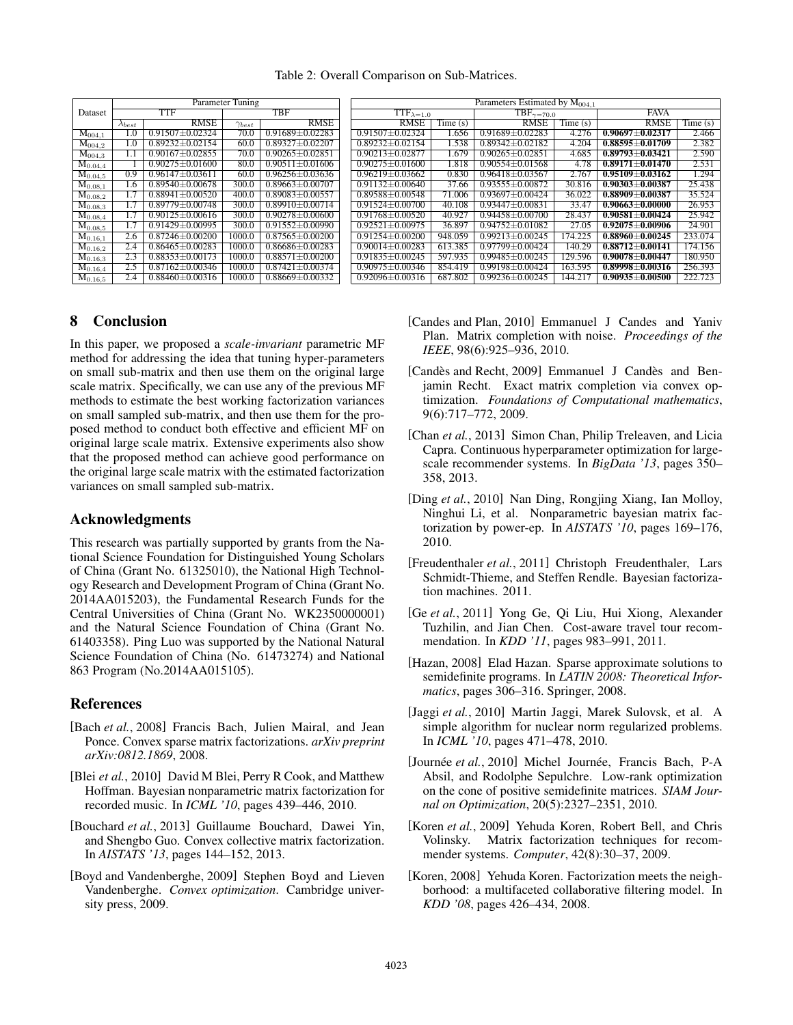Table 2: Overall Comparison on Sub-Matrices.

|                         | Parameter Tuning |                       |                 |                       |  | Parameters Estimated by $M_{004.1}$   |            |                                       |         |                       |         |  |  |
|-------------------------|------------------|-----------------------|-----------------|-----------------------|--|---------------------------------------|------------|---------------------------------------|---------|-----------------------|---------|--|--|
| Dataset                 |                  | TTF                   |                 | TBF                   |  | $\overline{\text{TTF}}_{\lambda=1.0}$ |            | $\overline{\text{TBF}_{\gamma=70.0}}$ |         | <b>FAVA</b>           |         |  |  |
|                         | $\lambda_{best}$ | <b>RMSE</b>           | $\gamma_{best}$ | <b>RMSE</b>           |  | <b>RMSE</b>                           | Time $(s)$ | <b>RMSE</b>                           | Time(s) | <b>RMSE</b>           | Time(s) |  |  |
| $M_{004,1}$             | 1.0              | $0.91507 \pm 0.02324$ | 70.0            | $0.91689 + 0.02283$   |  | $0.91507 \pm 0.02324$                 | .656       | $0.91689 + 0.02283$                   | 4.276   | $0.90697 + 0.02317$   | 2.466   |  |  |
| $\rm{M}_{004,2}$        | 1.0              | $0.89232 \pm 0.02154$ | 60.0            | $0.89327 \pm 0.02207$ |  | $0.89232 \pm 0.02154$                 | .538       | $0.89342 + 0.02182$                   | 4.204   | $0.88595 + 0.01709$   | 2.382   |  |  |
| $M_{004,3}$             | 1.1              | $0.90167 \pm 0.02855$ | 70.0            | $0.90265 \pm 0.02851$ |  | $0.90213 \pm 0.02877$                 | .679       | $0.90265 \pm 0.02851$                 | 4.685   | $0.89793 + 0.03421$   | 2.590   |  |  |
| $M_{0.04,4}$            |                  | $0.90275 \pm 0.01600$ | 80.0            | $0.90511 \pm 0.01606$ |  | $0.90275 \pm 0.01600$                 | .818       | $0.90554 \pm 0.01568$                 | 4.78    | $0.89171 \pm 0.01470$ | 2.531   |  |  |
| $M_{0.04.5}$            | 0.9              | $0.96147 \pm 0.03611$ | 60.0            | $0.96256 \pm 0.03636$ |  | $0.96219 \pm 0.03662$                 | 0.830      | $0.96418 \pm 0.03567$                 | 2.767   | $0.95109 + 0.03162$   | 1.294   |  |  |
| $M_{0.08,1}$            | 1.6              | $0.89540 \pm 0.00678$ | 300.0           | $0.89663 \pm 0.00707$ |  | $0.91132 + 0.00640$                   | 37.66      | $0.93555 + 0.00872$                   | 30.816  | $0.90303 + 0.00387$   | 25.438  |  |  |
| . $\rm{M}_{0.08,2}$     | 1.7              | $0.88941 \pm 0.00520$ | 400.0           | $0.89083 \pm 0.00557$ |  | $0.89588 \pm 0.00548$                 | 71.006     | $0.93697 + 0.00424$                   | 36.022  | $0.88909 + 0.00387$   | 35.524  |  |  |
| . $\mathrm{M}_{0.08,3}$ | .7               | $0.89779 + 0.00748$   | 300.0           | $0.89910 + 0.00714$   |  | $0.91524 + 0.00700$                   | 40.108     | $0.93447 + 0.00831$                   | 33.47   | $0.90663 + 0.00000$   | 26.953  |  |  |
| $M_{0.08,4}$            | .7               | $0.90125 + 0.00616$   | 300.0           | $0.90278 \pm 0.00600$ |  | $0.91768 + 0.00520$                   | 40.927     | $0.94458 + 0.00700$                   | 28.437  | $0.90581 \pm 0.00424$ | 25.942  |  |  |
| $\mathbf{M}_{0.08,5}$   | . .7             | $0.91429 \pm 0.00995$ | 300.0           | $0.91552 \pm 0.00990$ |  | $0.92521 \pm 0.00975$                 | 36.897     | $0.94752 + 0.01082$                   | 27.05   | $0.92075 + 0.00906$   | 24.901  |  |  |
| $M_{0.16,1}$            | 2.6              | $0.87246 + 0.00200$   | 1000.0          | $0.87565 \pm 0.00200$ |  | $0.91254 + 0.00200$                   | 948.059    | $0.99213 + 0.00245$                   | 174.225 | $0.88960 + 0.00245$   | 233.074 |  |  |
| . $M_{0.16,2}$          | 2.4              | $0.86465 \pm 0.00283$ | 1000.0          | $0.86686 \pm 0.00283$ |  | $0.90014 + 0.00283$                   | 613.385    | $0.97799 + 0.00424$                   | 140.29  | $0.88712 + 0.00141$   | 174.156 |  |  |
| $M_{0.16,3}$            | 2.3              | $0.88353 \pm 0.00173$ | 1000.0          | $0.88571 \pm 0.00200$ |  | $0.91835 + 0.00245$                   | 597.935    | $0.99485 + 0.00245$                   | 129.596 | $0.90078 + 0.00447$   | 180.950 |  |  |
| $\mathrm{M}_{0.16,4}$   | 2.5              | $0.87162 + 0.00346$   | 1000.0          | $0.87421 \pm 0.00374$ |  | $0.90975 + 0.00346$                   | 854.419    | $0.99198 + 0.00424$                   | 163.595 | $0.89998 + 0.00316$   | 256.393 |  |  |
| $M_{0.16,5}$            | 2.4              | $0.88460 \pm 0.00316$ | 1000.0          | $0.88669 \pm 0.00332$ |  | $0.92096 \pm 0.00316$                 | 687.802    | $0.99236 \pm 0.00245$                 | 144.217 | $0.90935 \pm 0.00500$ | 222.723 |  |  |

## 8 Conclusion

In this paper, we proposed a *scale-invariant* parametric MF method for addressing the idea that tuning hyper-parameters on small sub-matrix and then use them on the original large scale matrix. Specifically, we can use any of the previous MF methods to estimate the best working factorization variances on small sampled sub-matrix, and then use them for the proposed method to conduct both effective and efficient MF on original large scale matrix. Extensive experiments also show that the proposed method can achieve good performance on the original large scale matrix with the estimated factorization variances on small sampled sub-matrix.

## Acknowledgments

This research was partially supported by grants from the National Science Foundation for Distinguished Young Scholars of China (Grant No. 61325010), the National High Technology Research and Development Program of China (Grant No. 2014AA015203), the Fundamental Research Funds for the Central Universities of China (Grant No. WK2350000001) and the Natural Science Foundation of China (Grant No. 61403358). Ping Luo was supported by the National Natural Science Foundation of China (No. 61473274) and National 863 Program (No.2014AA015105).

## References

- [Bach *et al.*, 2008] Francis Bach, Julien Mairal, and Jean Ponce. Convex sparse matrix factorizations. *arXiv preprint arXiv:0812.1869*, 2008.
- [Blei *et al.*, 2010] David M Blei, Perry R Cook, and Matthew Hoffman. Bayesian nonparametric matrix factorization for recorded music. In *ICML '10*, pages 439–446, 2010.
- [Bouchard *et al.*, 2013] Guillaume Bouchard, Dawei Yin, and Shengbo Guo. Convex collective matrix factorization. In *AISTATS '13*, pages 144–152, 2013.
- [Boyd and Vandenberghe, 2009] Stephen Boyd and Lieven Vandenberghe. *Convex optimization*. Cambridge university press, 2009.
- [Candes and Plan, 2010] Emmanuel J Candes and Yaniv Plan. Matrix completion with noise. *Proceedings of the IEEE*, 98(6):925–936, 2010.
- [Candès and Recht, 2009] Emmanuel J Candès and Benjamin Recht. Exact matrix completion via convex optimization. *Foundations of Computational mathematics*, 9(6):717–772, 2009.
- [Chan *et al.*, 2013] Simon Chan, Philip Treleaven, and Licia Capra. Continuous hyperparameter optimization for largescale recommender systems. In *BigData '13*, pages 350– 358, 2013.
- [Ding *et al.*, 2010] Nan Ding, Rongjing Xiang, Ian Molloy, Ninghui Li, et al. Nonparametric bayesian matrix factorization by power-ep. In *AISTATS '10*, pages 169–176, 2010.
- [Freudenthaler *et al.*, 2011] Christoph Freudenthaler, Lars Schmidt-Thieme, and Steffen Rendle. Bayesian factorization machines. 2011.
- [Ge *et al.*, 2011] Yong Ge, Qi Liu, Hui Xiong, Alexander Tuzhilin, and Jian Chen. Cost-aware travel tour recommendation. In *KDD '11*, pages 983–991, 2011.
- [Hazan, 2008] Elad Hazan. Sparse approximate solutions to semidefinite programs. In *LATIN 2008: Theoretical Informatics*, pages 306–316. Springer, 2008.
- [Jaggi *et al.*, 2010] Martin Jaggi, Marek Sulovsk, et al. A simple algorithm for nuclear norm regularized problems. In *ICML '10*, pages 471–478, 2010.
- [Journée et al., 2010] Michel Journée, Francis Bach, P-A Absil, and Rodolphe Sepulchre. Low-rank optimization on the cone of positive semidefinite matrices. *SIAM Journal on Optimization*, 20(5):2327–2351, 2010.
- [Koren *et al.*, 2009] Yehuda Koren, Robert Bell, and Chris Volinsky. Matrix factorization techniques for recommender systems. *Computer*, 42(8):30–37, 2009.
- [Koren, 2008] Yehuda Koren. Factorization meets the neighborhood: a multifaceted collaborative filtering model. In *KDD '08*, pages 426–434, 2008.